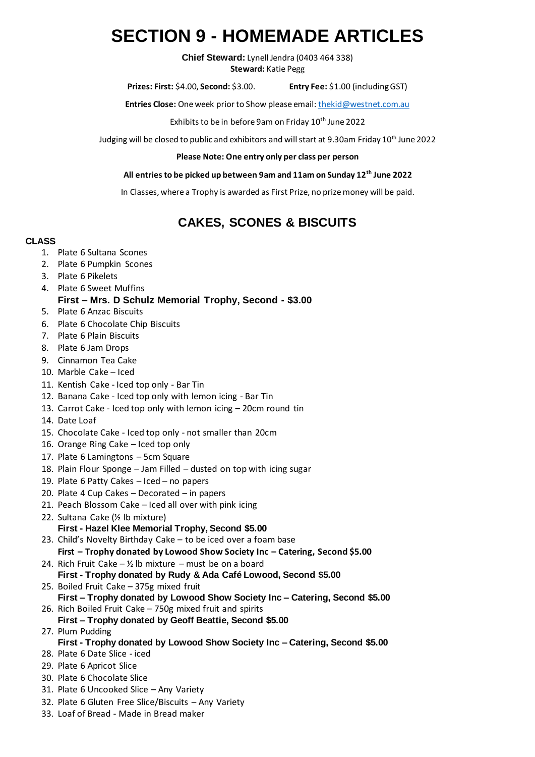# **SECTION 9 - HOMEMADE ARTICLES**

**Chief Steward:** Lynell Jendra (0403 464 338) **Steward:** Katie Pegg

**Prizes: First:** \$4.00, **Second:** \$3.00. **Entry Fee:** \$1.00 (including GST)

**Entries Close:** One week prior to Show please email: [thekid@westnet.com.au](mailto:thekid@westnet.com.au)

Exhibits to be in before 9am on Friday 10<sup>th</sup> June 2022

Judging will be closed to public and exhibitors and will start at 9.30am Friday 10<sup>th</sup> June 2022

#### **Please Note: One entry only per class per person**

#### **All entries to be picked up between 9am and 11am on Sunday 12th June 2022**

In Classes, where a Trophy is awarded as First Prize, no prize money will be paid.

# **CAKES, SCONES & BISCUITS**

### **CLASS**

- 1. Plate 6 Sultana Scones
- 2. Plate 6 Pumpkin Scones
- 3. Plate 6 Pikelets
- 4. Plate 6 Sweet Muffins
	- **First – Mrs. D Schulz Memorial Trophy, Second - \$3.00**
- 5. Plate 6 Anzac Biscuits
- 6. Plate 6 Chocolate Chip Biscuits
- 7. Plate 6 Plain Biscuits
- 8. Plate 6 Jam Drops
- 9. Cinnamon Tea Cake
- 10. Marble Cake Iced
- 11. Kentish Cake Iced top only Bar Tin
- 12. Banana Cake Iced top only with lemon icing Bar Tin
- 13. Carrot Cake Iced top only with lemon icing 20cm round tin
- 14. Date Loaf
- 15. Chocolate Cake Iced top only not smaller than 20cm
- 16. Orange Ring Cake Iced top only
- 17. Plate 6 Lamingtons 5cm Square
- 18. Plain Flour Sponge Jam Filled dusted on top with icing sugar
- 19. Plate 6 Patty Cakes Iced no papers
- 20. Plate 4 Cup Cakes Decorated in papers
- 21. Peach Blossom Cake Iced all over with pink icing
- 22. Sultana Cake (½ lb mixture) **First - Hazel Klee Memorial Trophy, Second \$5.00**
- 23. Child's Novelty Birthday Cake to be iced over a foam base **First – Trophy donated by Lowood Show Society Inc – Catering, Second \$5.00**
- 24. Rich Fruit Cake  $\frac{1}{2}$  lb mixture must be on a board **First - Trophy donated by Rudy & Ada Café Lowood, Second \$5.00**
- 25. Boiled Fruit Cake 375g mixed fruit **First – Trophy donated by Lowood Show Society Inc – Catering, Second \$5.00** 26. Rich Boiled Fruit Cake – 750g mixed fruit and spirits
- **First – Trophy donated by Geoff Beattie, Second \$5.00** 27. Plum Pudding
	- **First - Trophy donated by Lowood Show Society Inc – Catering, Second \$5.00**
- 28. Plate 6 Date Slice iced
- 29. Plate 6 Apricot Slice
- 30. Plate 6 Chocolate Slice
- 31. Plate 6 Uncooked Slice Any Variety
- 32. Plate 6 Gluten Free Slice/Biscuits Any Variety
- 33. Loaf of Bread Made in Bread maker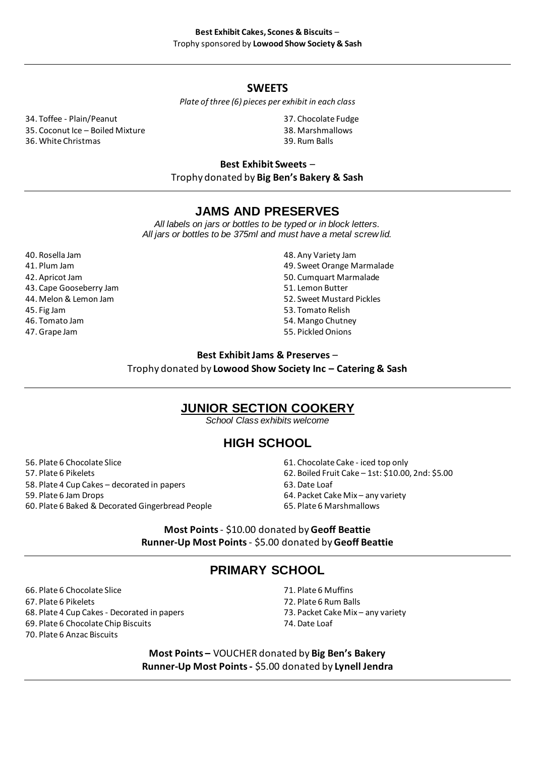### **SWEETS**

#### *Plate of three (6) pieces per exhibit in each class*

34. Toffee - Plain/Peanut 35. Coconut Ice – Boiled Mixture

36. White Christmas

37. Chocolate Fudge

- 38. Marshmallows 39. Rum Balls
- 

**Best Exhibit Sweets** –

Trophy donated by **Big Ben's Bakery & Sash**

### **JAMS AND PRESERVES**

*All labels on jars or bottles to be typed or in block letters. All jars or bottles to be 375ml and must have a metal screw lid.*

40. Rosella Jam 41. Plum Jam 42. Apricot Jam 43. Cape Gooseberry Jam 44. Melon & Lemon Jam 45. Fig Jam 46. Tomato Jam 47. Grape Jam

- 48. Any Variety Jam
- 49. Sweet Orange Marmalade
- 50. Cumquart Marmalade
- 51. Lemon Butter
- 52. Sweet Mustard Pickles
- 53. Tomato Relish
- 54. Mango Chutney
- 55. Pickled Onions

### **Best Exhibit Jams & Preserves** – Trophy donated by **Lowood Show Society Inc – Catering & Sash**

### **JUNIOR SECTION COOKERY**

*School Class exhibits welcome*

# **HIGH SCHOOL**

- 56. Plate 6 Chocolate Slice 57. Plate 6 Pikelets 58. Plate 4 Cup Cakes – decorated in papers 59. Plate 6 Jam Drops 60. Plate 6 Baked & Decorated Gingerbread People
- 61. Chocolate Cake iced top only
- 62. Boiled Fruit Cake 1st: \$10.00, 2nd: \$5.00
- 63. Date Loaf
- 64. Packet Cake Mix any variety
- 65. Plate 6 Marshmallows

**Most Points** - \$10.00 donated by **Geoff Beattie Runner-Up Most Points** - \$5.00 donated by **Geoff Beattie**

# **PRIMARY SCHOOL**

- 66. Plate 6 Chocolate Slice
- 67. Plate 6 Pikelets
- 68. Plate 4 Cup Cakes Decorated in papers
- 69. Plate 6 Chocolate Chip Biscuits
- 70. Plate 6 Anzac Biscuits
- 71. Plate 6 Muffins
- 72. Plate 6 Rum Balls
- 73. Packet Cake Mix any variety
- 74. Date Loaf

**Most Points –** VOUCHER donated by **Big Ben's Bakery Runner-Up Most Points -** \$5.00 donated by **Lynell Jendra**